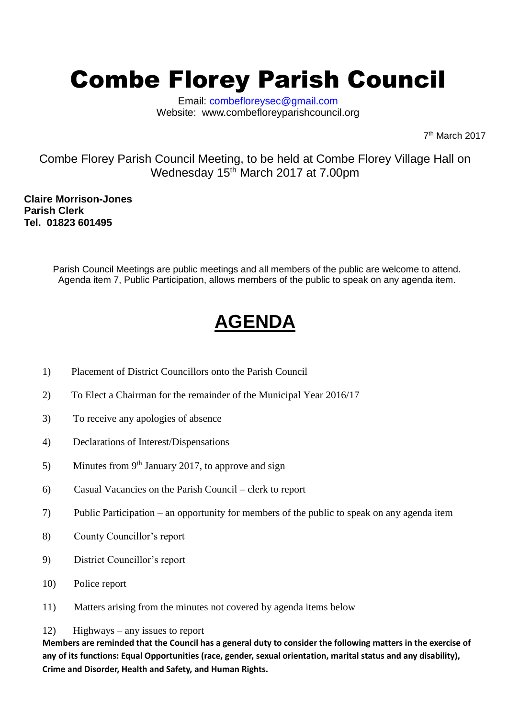# Combe Florey Parish Council

Email: [combefloreysec@gmail.com](mailto:combefloreysec@gmail.com) Website: www.combefloreyparishcouncil.org

7 th March 2017

Combe Florey Parish Council Meeting, to be held at Combe Florey Village Hall on Wednesday 15<sup>th</sup> March 2017 at 7.00pm

**Claire Morrison-Jones Parish Clerk Tel. 01823 601495**

> Parish Council Meetings are public meetings and all members of the public are welcome to attend. Agenda item 7, Public Participation, allows members of the public to speak on any agenda item.

# **AGENDA**

- 1) Placement of District Councillors onto the Parish Council
- 2) To Elect a Chairman for the remainder of the Municipal Year 2016/17
- 3) To receive any apologies of absence
- 4) Declarations of Interest/Dispensations
- 5) Minutes from  $9<sup>th</sup>$  January 2017, to approve and sign
- 6) Casual Vacancies on the Parish Council clerk to report
- 7) Public Participation an opportunity for members of the public to speak on any agenda item
- 8) County Councillor's report
- 9) District Councillor's report
- 10) Police report
- 11) Matters arising from the minutes not covered by agenda items below

#### 12) Highways – any issues to report

**Members are reminded that the Council has a general duty to consider the following matters in the exercise of any of its functions: Equal Opportunities (race, gender, sexual orientation, marital status and any disability), Crime and Disorder, Health and Safety, and Human Rights.**